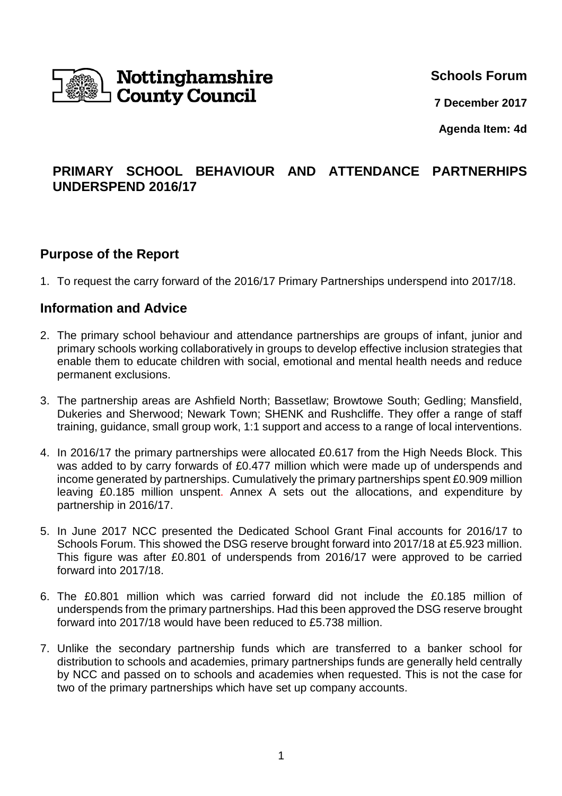

**Schools Forum**

**7 December 2017**

**Agenda Item: 4d**

# **PRIMARY SCHOOL BEHAVIOUR AND ATTENDANCE PARTNERHIPS UNDERSPEND 2016/17**

### **Purpose of the Report**

1. To request the carry forward of the 2016/17 Primary Partnerships underspend into 2017/18.

### **Information and Advice**

- 2. The primary school behaviour and attendance partnerships are groups of infant, junior and primary schools working collaboratively in groups to develop effective inclusion strategies that enable them to educate children with social, emotional and mental health needs and reduce permanent exclusions.
- 3. The partnership areas are Ashfield North; Bassetlaw; Browtowe South; Gedling; Mansfield, Dukeries and Sherwood; Newark Town; SHENK and Rushcliffe. They offer a range of staff training, guidance, small group work, 1:1 support and access to a range of local interventions.
- 4. In 2016/17 the primary partnerships were allocated £0.617 from the High Needs Block. This was added to by carry forwards of £0.477 million which were made up of underspends and income generated by partnerships. Cumulatively the primary partnerships spent £0.909 million leaving £0.185 million unspent. Annex A sets out the allocations, and expenditure by partnership in 2016/17.
- 5. In June 2017 NCC presented the Dedicated School Grant Final accounts for 2016/17 to Schools Forum. This showed the DSG reserve brought forward into 2017/18 at £5.923 million. This figure was after £0.801 of underspends from 2016/17 were approved to be carried forward into 2017/18.
- 6. The £0.801 million which was carried forward did not include the £0.185 million of underspends from the primary partnerships. Had this been approved the DSG reserve brought forward into 2017/18 would have been reduced to £5.738 million.
- 7. Unlike the secondary partnership funds which are transferred to a banker school for distribution to schools and academies, primary partnerships funds are generally held centrally by NCC and passed on to schools and academies when requested. This is not the case for two of the primary partnerships which have set up company accounts.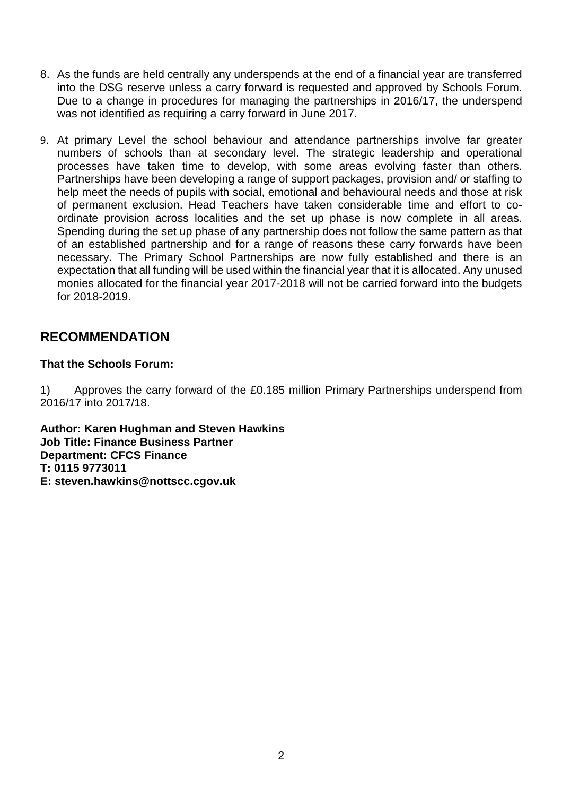- 8. As the funds are held centrally any underspends at the end of a financial year are transferred into the DSG reserve unless a carry forward is requested and approved by Schools Forum. Due to a change in procedures for managing the partnerships in 2016/17, the underspend was not identified as requiring a carry forward in June 2017.
- 9. At primary Level the school behaviour and attendance partnerships involve far greater numbers of schools than at secondary level. The strategic leadership and operational processes have taken time to develop, with some areas evolving faster than others. Partnerships have been developing a range of support packages, provision and/ or staffing to help meet the needs of pupils with social, emotional and behavioural needs and those at risk of permanent exclusion. Head Teachers have taken considerable time and effort to coordinate provision across localities and the set up phase is now complete in all areas. Spending during the set up phase of any partnership does not follow the same pattern as that of an established partnership and for a range of reasons these carry forwards have been necessary. The Primary School Partnerships are now fully established and there is an expectation that all funding will be used within the financial year that it is allocated. Any unused monies allocated for the financial year 2017-2018 will not be carried forward into the budgets for 2018-2019.

# **RECOMMENDATION**

#### **That the Schools Forum:**

1) Approves the carry forward of the £0.185 million Primary Partnerships underspend from 2016/17 into 2017/18.

**Author: Karen Hughman and Steven Hawkins Job Title: Finance Business Partner Department: CFCS Finance T: 0115 9773011 E: steven.hawkins@nottscc.cgov.uk**